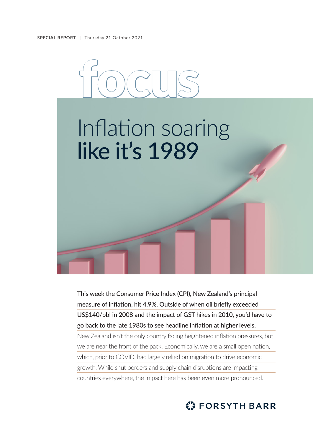

This week the Consumer Price Index (CPI), New Zealand's principal measure of inflation, hit 4.9%. Outside of when oil briefly exceeded US\$140/bbl in 2008 and the impact of GST hikes in 2010, you'd have to go back to the late 1980s to see headline inflation at higher levels. New Zealand isn't the only country facing heightened inflation pressures, but we are near the front of the pack. Economically, we are a small open nation, which, prior to COVID, had largely relied on migration to drive economic growth. While shut borders and supply chain disruptions are impacting countries everywhere, the impact here has been even more pronounced.

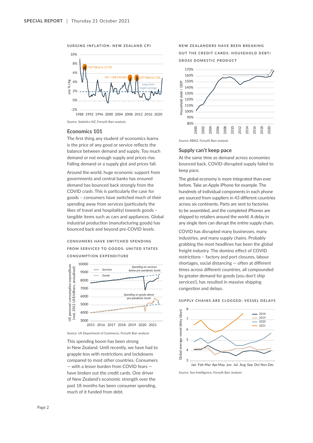## **SURGING INFLATION: NEW ZEALAND CPI**



Source: Statistics NZ, Forsyth Barr analysis

# **Economics 101**

The first thing any student of economics learns is the price of any good or service reflects the balance between demand and supply. Too much demand or not enough supply and prices rise. Falling demand or a supply glut and prices fall.

Around the world, huge economic support from governments and central banks has ensured demand has bounced back strongly from the COVID crash. This is particularly the case for goods – consumers have switched much of their spending away from services (particularly the likes of travel and hospitality) towards goods – tangible items such as cars and appliances. Global industrial production (manufacturing goods) has bounced back and beyond pre-COVID levels.

# **C O N S U M E R S H AV E S W I T C H E D S P E N D I N G FROM SERVICES TO GOODS: UNITED STATES CONSUMPTION EXPENDITURE**





This spending boom has been strong in New Zealand. Until recently, we have had to grapple less with restrictions and lockdowns compared to most other countries. Consumers — with a lesser burden from COVID fears have broken out the credit cards. One driver of New Zealand's economic strength over the past 18 months has been consumer spending, much of it funded from debt.

**NEW ZEALANDERS HAVE BEEN BREAKING OUT THE CREDIT CARDS: HOUSEHOLD DEBT/ GROSS DOMESTIC PRODUCT**



Source: RBNZ, Forsyth Barr analysis

## **Supply can't keep pace**

At the same time as demand across economies bounced back, COVID-disrupted supply failed to keep pace.

The global economy is more integrated than ever before. Take an Apple iPhone for example. The hundreds of individual components in each phone are sourced from suppliers in 43 different countries across six continents. Parts are sent to factories to be assembled, and the completed iPhones are shipped to retailers around the world. A delay in any single item can disrupt the entire supply chain.

COVID has disrupted many businesses, many industries, and many supply chains. Probably grabbing the most headlines has been the global freight industry. The domino effect of COVID restrictions – factory and port closures, labour shortages, social distancing — often at different times across different countries, all compounded by greater demand for goods (you don't ship services!), has resulted in massive shipping congestion and delays.

### **SUPPLY CHAINS ARE CLOGGED: VESSEL DELAYS**



Source: Sea-Intelligence, Forsyth Barr analysis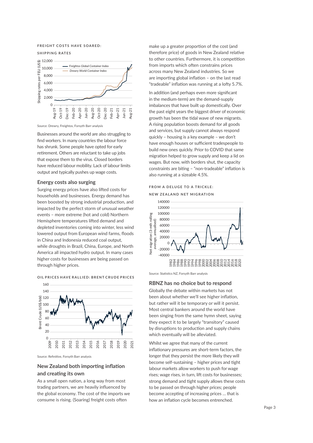### **FREIGHT COSTS HAVE SOARED:**

#### **SHIPPING RATES**



Source: Drewry, Freightos, Forsyth Barr analysis

Businesses around the world are also struggling to find workers. In many countries the labour force has shrunk. Some people have opted for early retirement. Others are reluctant to take up jobs that expose them to the virus. Closed borders have reduced labour mobility. Lack of labour limits output and typically pushes up wage costs.

# **Energy costs also surging**

Surging energy prices have also lifted costs for households and businesses. Energy demand has been boosted by strong industrial production, and impacted by the perfect storm of unusual weather events – more extreme (hot and cold) Northern Hemisphere temperatures lifted demand and depleted inventories coming into winter, less wind lowered output from European wind farms, floods in China and Indonesia reduced coal output, while droughts in Brazil, China, Europe, and North America all impacted hydro output. In many cases higher costs for businesses are being passed on through higher prices.



**OIL PRICES HAVE RALLIED: BRENT CRUDE PRICES**

Source: Refinitive, Forsyth Barr analysis

# **New Zealand both importing inflation and creating its own**

As a small open nation, a long way from most trading partners, we are heavily influenced by the global economy. The cost of the imports we consume is rising. (Soaring) freight costs often

make up a greater proportion of the cost (and therefore price) of goods in New Zealand relative to other countries. Furthermore, it is competition from imports which often constrains prices across many New Zealand industries. So we are importing global inflation – on the last read "tradeable" inflation was running at a lofty 5.7%.

In addition (and perhaps even more significant in the medium-term) are the demand-supply imbalances that have built up domestically. Over the past eight years the biggest driver of economic growth has been the tidal wave of new migrants. A rising population boosts demand for all goods and services, but supply cannot always respond quickly – housing is a key example – we don't have enough houses or sufficient tradespeople to build new ones quickly. Prior to COVID that same migration helped to grow supply and keep a lid on wages. But now, with borders shut, the capacity constraints are biting – "non-tradeable" inflation is also running at a sizeable 4.5%.

# **FROM A DELUGE TO A TRICKLE:**

**NEW ZEALAND NET MIGRATION**



Source: Statistics NZ, Forsyth Barr analysis

### **RBNZ has no choice but to respond**

Globally the debate within markets has not been about whether we'll see higher inflation, but rather will it be temporary or will it persist. Most central bankers around the world have been singing from the same hymn sheet, saying they expect it to be largely "transitory" caused by disruptions to production and supply chains which eventually will be alleviated.

Whilst we agree that many of the current inflationary pressures are short-term factors, the longer that they persist the more likely they will become self-sustaining – higher prices and tight labour markets allow workers to push for wage rises; wage rises, in turn, lift costs for businesses; strong demand and tight supply allows these costs to be passed on through higher prices; people become accepting of increasing prices … that is how an inflation cycle becomes entrenched.